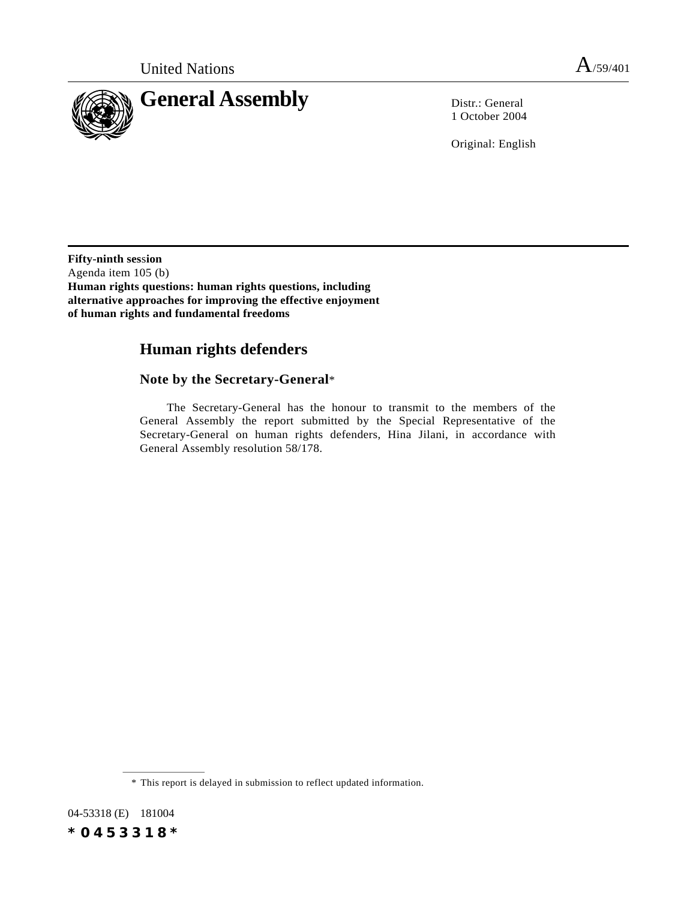

1 October 2004

Original: English

**Fifty-ninth ses**s**ion** Agenda item 105 (b) **Human rights questions: human rights questions, including alternative approaches for improving the effective enjoyment of human rights and fundamental freedoms**

# **Human rights defenders**

# **Note by the Secretary-General**\*

The Secretary-General has the honour to transmit to the members of the General Assembly the report submitted by the Special Representative of the Secretary-General on human rights defenders, Hina Jilani, in accordance with General Assembly resolution 58/178.

<sup>\*</sup> This report is delayed in submission to reflect updated information.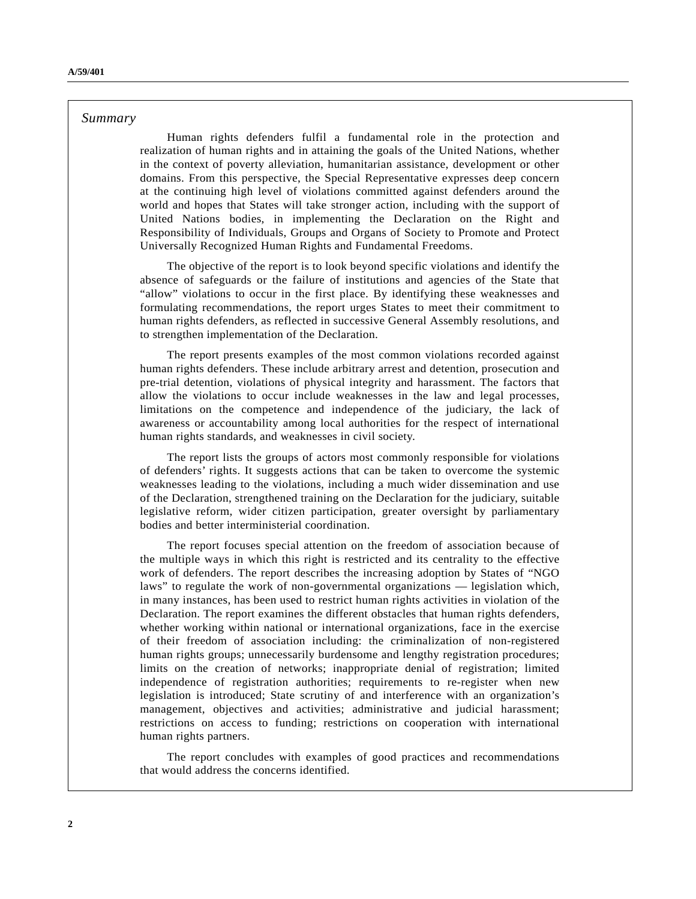## *Summary*

Human rights defenders fulfil a fundamental role in the protection and realization of human rights and in attaining the goals of the United Nations, whether in the context of poverty alleviation, humanitarian assistance, development or other domains. From this perspective, the Special Representative expresses deep concern at the continuing high level of violations committed against defenders around the world and hopes that States will take stronger action, including with the support of United Nations bodies, in implementing the Declaration on the Right and Responsibility of Individuals, Groups and Organs of Society to Promote and Protect Universally Recognized Human Rights and Fundamental Freedoms.

The objective of the report is to look beyond specific violations and identify the absence of safeguards or the failure of institutions and agencies of the State that "allow" violations to occur in the first place. By identifying these weaknesses and formulating recommendations, the report urges States to meet their commitment to human rights defenders, as reflected in successive General Assembly resolutions, and to strengthen implementation of the Declaration.

The report presents examples of the most common violations recorded against human rights defenders. These include arbitrary arrest and detention, prosecution and pre-trial detention, violations of physical integrity and harassment. The factors that allow the violations to occur include weaknesses in the law and legal processes, limitations on the competence and independence of the judiciary, the lack of awareness or accountability among local authorities for the respect of international human rights standards, and weaknesses in civil society.

The report lists the groups of actors most commonly responsible for violations of defenders' rights. It suggests actions that can be taken to overcome the systemic weaknesses leading to the violations, including a much wider dissemination and use of the Declaration, strengthened training on the Declaration for the judiciary, suitable legislative reform, wider citizen participation, greater oversight by parliamentary bodies and better interministerial coordination.

The report focuses special attention on the freedom of association because of the multiple ways in which this right is restricted and its centrality to the effective work of defenders. The report describes the increasing adoption by States of "NGO laws" to regulate the work of non-governmental organizations — legislation which, in many instances, has been used to restrict human rights activities in violation of the Declaration. The report examines the different obstacles that human rights defenders, whether working within national or international organizations, face in the exercise of their freedom of association including: the criminalization of non-registered human rights groups; unnecessarily burdensome and lengthy registration procedures; limits on the creation of networks; inappropriate denial of registration; limited independence of registration authorities; requirements to re-register when new legislation is introduced; State scrutiny of and interference with an organization's management, objectives and activities; administrative and judicial harassment; restrictions on access to funding; restrictions on cooperation with international human rights partners.

The report concludes with examples of good practices and recommendations that would address the concerns identified.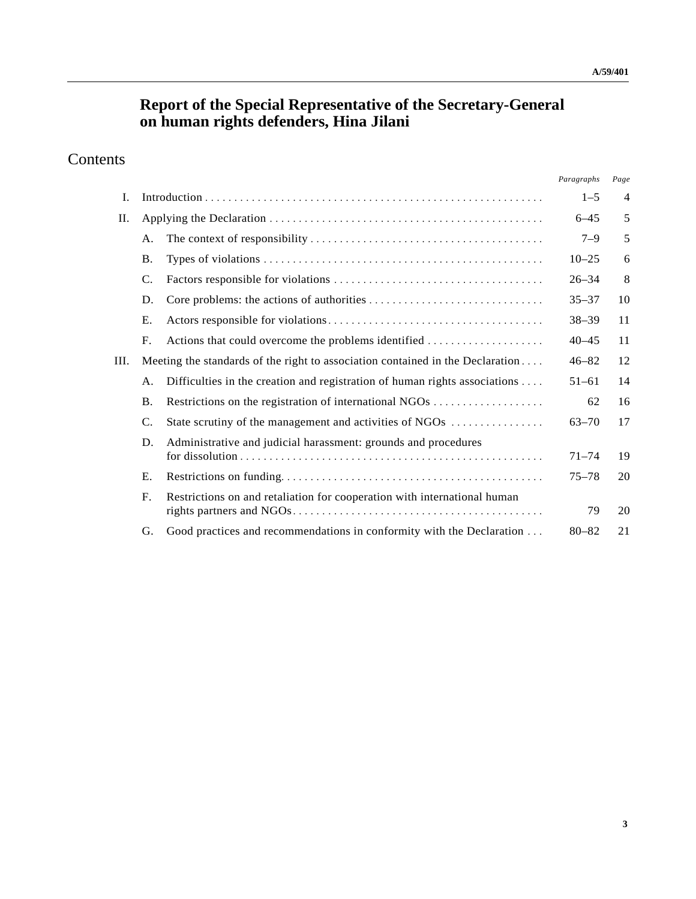# **Report of the Special Representative of the Secretary-General on human rights defenders, Hina Jilani**

# Contents

|               |                                                                            | Paragraphs                                                                     | Page                  |
|---------------|----------------------------------------------------------------------------|--------------------------------------------------------------------------------|-----------------------|
|               |                                                                            | $1 - 5$                                                                        | $\overline{4}$        |
|               |                                                                            |                                                                                | 5                     |
| А.            |                                                                            | $7 - 9$                                                                        | 5                     |
| Β.            |                                                                            | $10 - 25$                                                                      | 6                     |
| C.            |                                                                            | $26 - 34$                                                                      | 8                     |
| D.            |                                                                            | $35 - 37$                                                                      | 10                    |
| Ε.            |                                                                            | $38 - 39$                                                                      | 11                    |
| F.            |                                                                            | $40 - 45$                                                                      | 11                    |
|               |                                                                            | $46 - 82$                                                                      | 12                    |
| A.            | Difficulties in the creation and registration of human rights associations | $51 - 61$                                                                      | 14                    |
| <b>B.</b>     |                                                                            | 62                                                                             | 16                    |
| $\mathcal{C}$ | State scrutiny of the management and activities of NGOs                    | $63 - 70$                                                                      | 17                    |
| D.            | Administrative and judicial harassment: grounds and procedures             |                                                                                | 19                    |
| Ε.            |                                                                            | $75 - 78$                                                                      | 20                    |
| $F_{\cdot}$   | Restrictions on and retaliation for cooperation with international human   | 79                                                                             | 20                    |
| G.            | Good practices and recommendations in conformity with the Declaration      | $80 - 82$                                                                      | 21                    |
|               |                                                                            | Meeting the standards of the right to association contained in the Declaration | $6 - 45$<br>$71 - 74$ |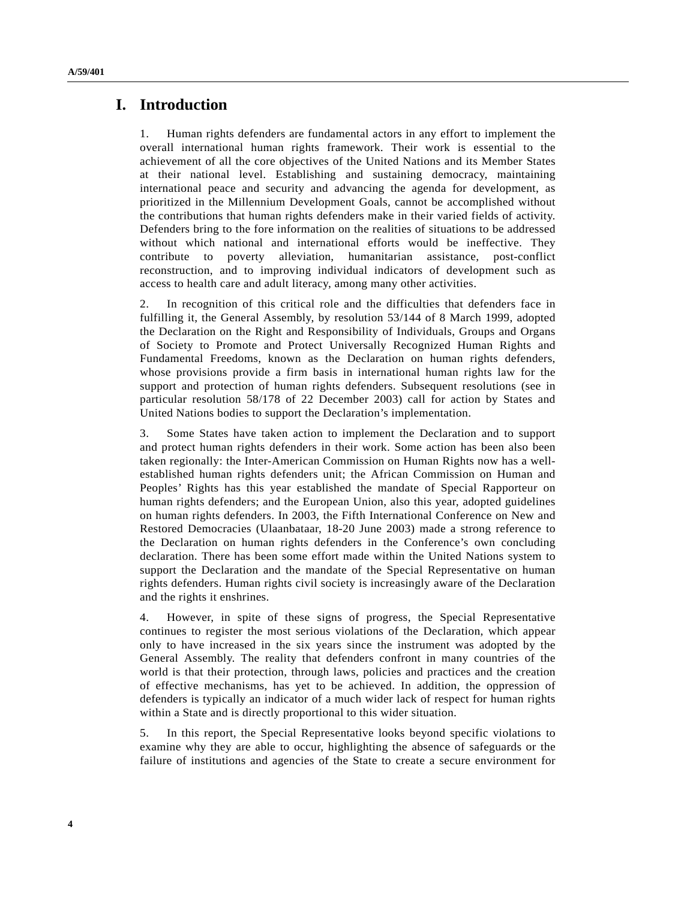# **I. Introduction**

1. Human rights defenders are fundamental actors in any effort to implement the overall international human rights framework. Their work is essential to the achievement of all the core objectives of the United Nations and its Member States at their national level. Establishing and sustaining democracy, maintaining international peace and security and advancing the agenda for development, as prioritized in the Millennium Development Goals, cannot be accomplished without the contributions that human rights defenders make in their varied fields of activity. Defenders bring to the fore information on the realities of situations to be addressed without which national and international efforts would be ineffective. They contribute to poverty alleviation, humanitarian assistance, post-conflict reconstruction, and to improving individual indicators of development such as access to health care and adult literacy, among many other activities.

2. In recognition of this critical role and the difficulties that defenders face in fulfilling it, the General Assembly, by resolution 53/144 of 8 March 1999, adopted the Declaration on the Right and Responsibility of Individuals, Groups and Organs of Society to Promote and Protect Universally Recognized Human Rights and Fundamental Freedoms, known as the Declaration on human rights defenders, whose provisions provide a firm basis in international human rights law for the support and protection of human rights defenders. Subsequent resolutions (see in particular resolution 58/178 of 22 December 2003) call for action by States and United Nations bodies to support the Declaration's implementation.

3. Some States have taken action to implement the Declaration and to support and protect human rights defenders in their work. Some action has been also been taken regionally: the Inter-American Commission on Human Rights now has a wellestablished human rights defenders unit; the African Commission on Human and Peoples' Rights has this year established the mandate of Special Rapporteur on human rights defenders; and the European Union, also this year, adopted guidelines on human rights defenders. In 2003, the Fifth International Conference on New and Restored Democracies (Ulaanbataar, 18-20 June 2003) made a strong reference to the Declaration on human rights defenders in the Conference's own concluding declaration. There has been some effort made within the United Nations system to support the Declaration and the mandate of the Special Representative on human rights defenders. Human rights civil society is increasingly aware of the Declaration and the rights it enshrines.

4. However, in spite of these signs of progress, the Special Representative continues to register the most serious violations of the Declaration, which appear only to have increased in the six years since the instrument was adopted by the General Assembly. The reality that defenders confront in many countries of the world is that their protection, through laws, policies and practices and the creation of effective mechanisms, has yet to be achieved. In addition, the oppression of defenders is typically an indicator of a much wider lack of respect for human rights within a State and is directly proportional to this wider situation.

5. In this report, the Special Representative looks beyond specific violations to examine why they are able to occur, highlighting the absence of safeguards or the failure of institutions and agencies of the State to create a secure environment for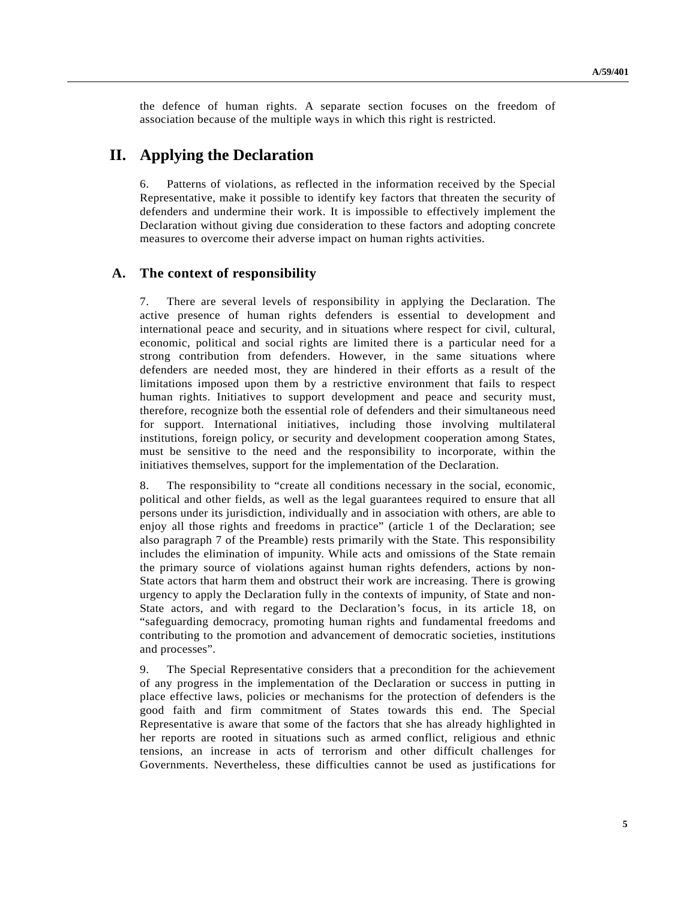the defence of human rights. A separate section focuses on the freedom of association because of the multiple ways in which this right is restricted.

# **II. Applying the Declaration**

6. Patterns of violations, as reflected in the information received by the Special Representative, make it possible to identify key factors that threaten the security of defenders and undermine their work. It is impossible to effectively implement the Declaration without giving due consideration to these factors and adopting concrete measures to overcome their adverse impact on human rights activities.

## **A. The context of responsibility**

7. There are several levels of responsibility in applying the Declaration. The active presence of human rights defenders is essential to development and international peace and security, and in situations where respect for civil, cultural, economic, political and social rights are limited there is a particular need for a strong contribution from defenders. However, in the same situations where defenders are needed most, they are hindered in their efforts as a result of the limitations imposed upon them by a restrictive environment that fails to respect human rights. Initiatives to support development and peace and security must, therefore, recognize both the essential role of defenders and their simultaneous need for support. International initiatives, including those involving multilateral institutions, foreign policy, or security and development cooperation among States, must be sensitive to the need and the responsibility to incorporate, within the initiatives themselves, support for the implementation of the Declaration.

8. The responsibility to "create all conditions necessary in the social, economic, political and other fields, as well as the legal guarantees required to ensure that all persons under its jurisdiction, individually and in association with others, are able to enjoy all those rights and freedoms in practice" (article 1 of the Declaration; see also paragraph 7 of the Preamble) rests primarily with the State. This responsibility includes the elimination of impunity. While acts and omissions of the State remain the primary source of violations against human rights defenders, actions by non-State actors that harm them and obstruct their work are increasing. There is growing urgency to apply the Declaration fully in the contexts of impunity, of State and non-State actors, and with regard to the Declaration's focus, in its article 18, on "safeguarding democracy, promoting human rights and fundamental freedoms and contributing to the promotion and advancement of democratic societies, institutions and processes".

9. The Special Representative considers that a precondition for the achievement of any progress in the implementation of the Declaration or success in putting in place effective laws, policies or mechanisms for the protection of defenders is the good faith and firm commitment of States towards this end. The Special Representative is aware that some of the factors that she has already highlighted in her reports are rooted in situations such as armed conflict, religious and ethnic tensions, an increase in acts of terrorism and other difficult challenges for Governments. Nevertheless, these difficulties cannot be used as justifications for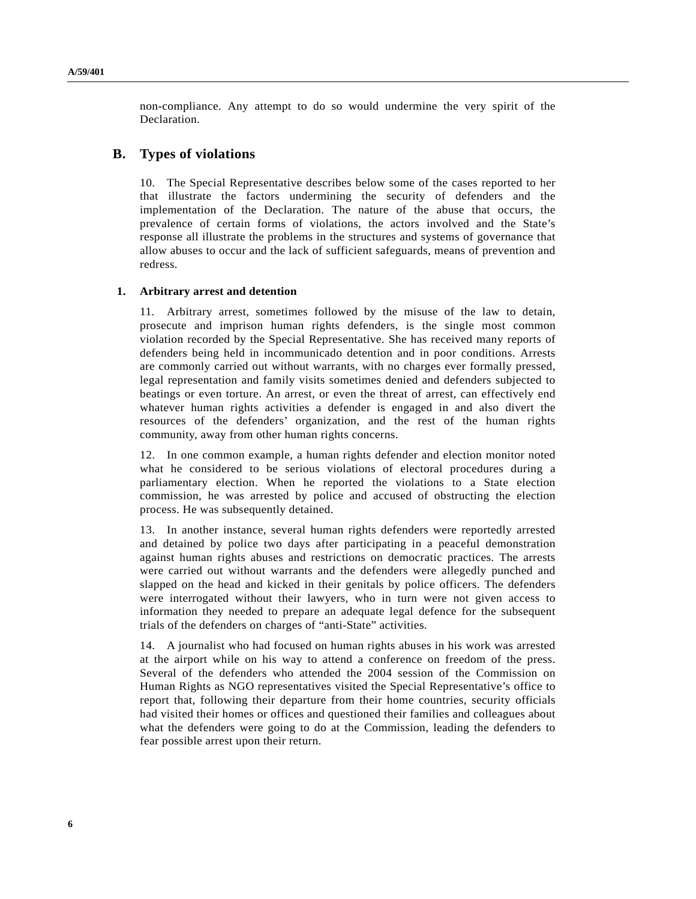non-compliance. Any attempt to do so would undermine the very spirit of the Declaration.

## **B. Types of violations**

10. The Special Representative describes below some of the cases reported to her that illustrate the factors undermining the security of defenders and the implementation of the Declaration. The nature of the abuse that occurs, the prevalence of certain forms of violations, the actors involved and the State's response all illustrate the problems in the structures and systems of governance that allow abuses to occur and the lack of sufficient safeguards, means of prevention and redress.

## **1. Arbitrary arrest and detention**

11. Arbitrary arrest, sometimes followed by the misuse of the law to detain, prosecute and imprison human rights defenders, is the single most common violation recorded by the Special Representative. She has received many reports of defenders being held in incommunicado detention and in poor conditions. Arrests are commonly carried out without warrants, with no charges ever formally pressed, legal representation and family visits sometimes denied and defenders subjected to beatings or even torture. An arrest, or even the threat of arrest, can effectively end whatever human rights activities a defender is engaged in and also divert the resources of the defenders' organization, and the rest of the human rights community, away from other human rights concerns.

12. In one common example, a human rights defender and election monitor noted what he considered to be serious violations of electoral procedures during a parliamentary election. When he reported the violations to a State election commission, he was arrested by police and accused of obstructing the election process. He was subsequently detained.

13. In another instance, several human rights defenders were reportedly arrested and detained by police two days after participating in a peaceful demonstration against human rights abuses and restrictions on democratic practices. The arrests were carried out without warrants and the defenders were allegedly punched and slapped on the head and kicked in their genitals by police officers. The defenders were interrogated without their lawyers, who in turn were not given access to information they needed to prepare an adequate legal defence for the subsequent trials of the defenders on charges of "anti-State" activities.

14. A journalist who had focused on human rights abuses in his work was arrested at the airport while on his way to attend a conference on freedom of the press. Several of the defenders who attended the 2004 session of the Commission on Human Rights as NGO representatives visited the Special Representative's office to report that, following their departure from their home countries, security officials had visited their homes or offices and questioned their families and colleagues about what the defenders were going to do at the Commission, leading the defenders to fear possible arrest upon their return.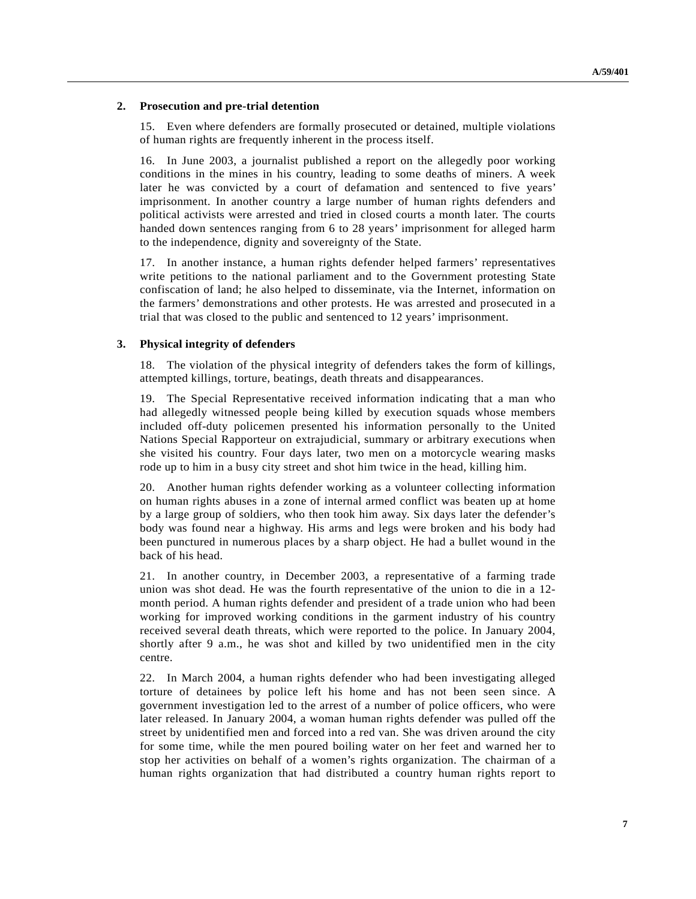## **2. Prosecution and pre-trial detention**

15. Even where defenders are formally prosecuted or detained, multiple violations of human rights are frequently inherent in the process itself.

16. In June 2003, a journalist published a report on the allegedly poor working conditions in the mines in his country, leading to some deaths of miners. A week later he was convicted by a court of defamation and sentenced to five years' imprisonment. In another country a large number of human rights defenders and political activists were arrested and tried in closed courts a month later. The courts handed down sentences ranging from 6 to 28 years' imprisonment for alleged harm to the independence, dignity and sovereignty of the State.

17. In another instance, a human rights defender helped farmers' representatives write petitions to the national parliament and to the Government protesting State confiscation of land; he also helped to disseminate, via the Internet, information on the farmers' demonstrations and other protests. He was arrested and prosecuted in a trial that was closed to the public and sentenced to 12 years' imprisonment.

## **3. Physical integrity of defenders**

18. The violation of the physical integrity of defenders takes the form of killings, attempted killings, torture, beatings, death threats and disappearances.

19. The Special Representative received information indicating that a man who had allegedly witnessed people being killed by execution squads whose members included off-duty policemen presented his information personally to the United Nations Special Rapporteur on extrajudicial, summary or arbitrary executions when she visited his country. Four days later, two men on a motorcycle wearing masks rode up to him in a busy city street and shot him twice in the head, killing him.

20. Another human rights defender working as a volunteer collecting information on human rights abuses in a zone of internal armed conflict was beaten up at home by a large group of soldiers, who then took him away. Six days later the defender's body was found near a highway. His arms and legs were broken and his body had been punctured in numerous places by a sharp object. He had a bullet wound in the back of his head.

21. In another country, in December 2003, a representative of a farming trade union was shot dead. He was the fourth representative of the union to die in a 12 month period. A human rights defender and president of a trade union who had been working for improved working conditions in the garment industry of his country received several death threats, which were reported to the police. In January 2004, shortly after 9 a.m., he was shot and killed by two unidentified men in the city centre.

22. In March 2004, a human rights defender who had been investigating alleged torture of detainees by police left his home and has not been seen since. A government investigation led to the arrest of a number of police officers, who were later released. In January 2004, a woman human rights defender was pulled off the street by unidentified men and forced into a red van. She was driven around the city for some time, while the men poured boiling water on her feet and warned her to stop her activities on behalf of a women's rights organization. The chairman of a human rights organization that had distributed a country human rights report to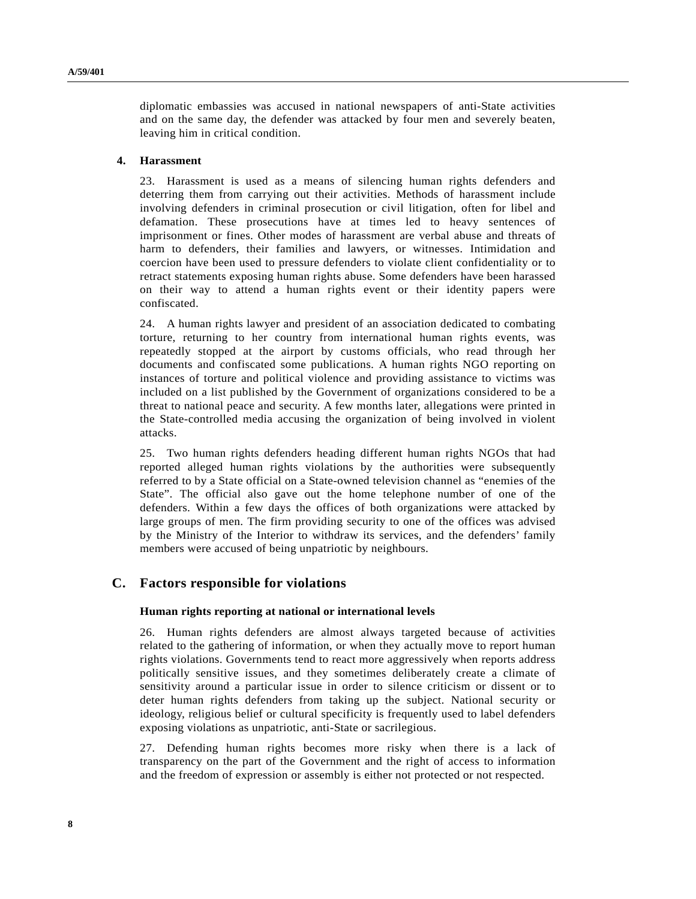diplomatic embassies was accused in national newspapers of anti-State activities and on the same day, the defender was attacked by four men and severely beaten, leaving him in critical condition.

#### **4. Harassment**

23. Harassment is used as a means of silencing human rights defenders and deterring them from carrying out their activities. Methods of harassment include involving defenders in criminal prosecution or civil litigation, often for libel and defamation. These prosecutions have at times led to heavy sentences of imprisonment or fines. Other modes of harassment are verbal abuse and threats of harm to defenders, their families and lawyers, or witnesses. Intimidation and coercion have been used to pressure defenders to violate client confidentiality or to retract statements exposing human rights abuse. Some defenders have been harassed on their way to attend a human rights event or their identity papers were confiscated.

24. A human rights lawyer and president of an association dedicated to combating torture, returning to her country from international human rights events, was repeatedly stopped at the airport by customs officials, who read through her documents and confiscated some publications. A human rights NGO reporting on instances of torture and political violence and providing assistance to victims was included on a list published by the Government of organizations considered to be a threat to national peace and security. A few months later, allegations were printed in the State-controlled media accusing the organization of being involved in violent attacks.

25. Two human rights defenders heading different human rights NGOs that had reported alleged human rights violations by the authorities were subsequently referred to by a State official on a State-owned television channel as "enemies of the State". The official also gave out the home telephone number of one of the defenders. Within a few days the offices of both organizations were attacked by large groups of men. The firm providing security to one of the offices was advised by the Ministry of the Interior to withdraw its services, and the defenders' family members were accused of being unpatriotic by neighbours.

## **C. Factors responsible for violations**

## **Human rights reporting at national or international levels**

26. Human rights defenders are almost always targeted because of activities related to the gathering of information, or when they actually move to report human rights violations. Governments tend to react more aggressively when reports address politically sensitive issues, and they sometimes deliberately create a climate of sensitivity around a particular issue in order to silence criticism or dissent or to deter human rights defenders from taking up the subject. National security or ideology, religious belief or cultural specificity is frequently used to label defenders exposing violations as unpatriotic, anti-State or sacrilegious.

27. Defending human rights becomes more risky when there is a lack of transparency on the part of the Government and the right of access to information and the freedom of expression or assembly is either not protected or not respected.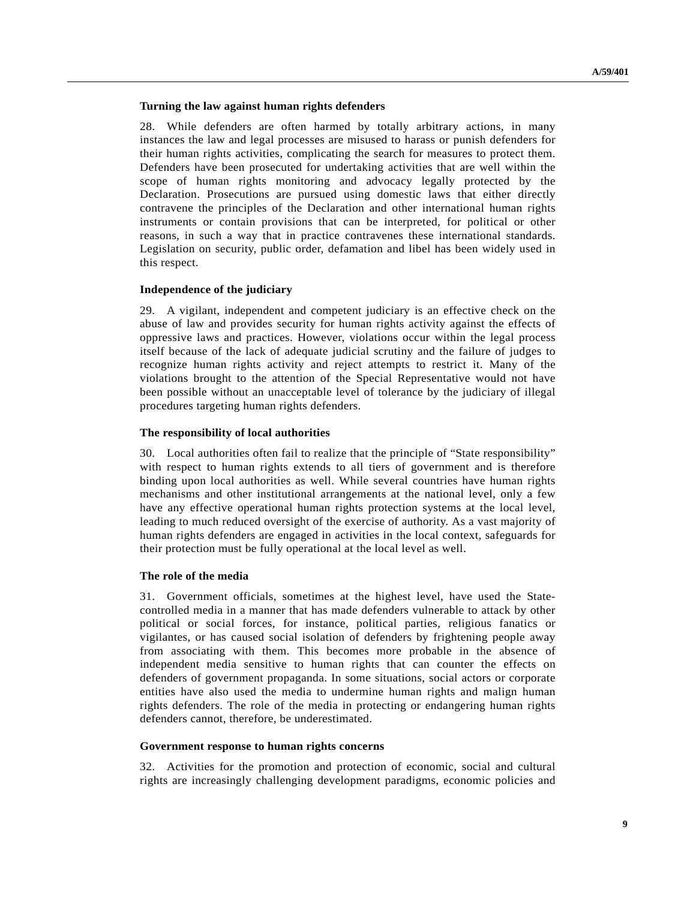#### **Turning the law against human rights defenders**

28. While defenders are often harmed by totally arbitrary actions, in many instances the law and legal processes are misused to harass or punish defenders for their human rights activities, complicating the search for measures to protect them. Defenders have been prosecuted for undertaking activities that are well within the scope of human rights monitoring and advocacy legally protected by the Declaration. Prosecutions are pursued using domestic laws that either directly contravene the principles of the Declaration and other international human rights instruments or contain provisions that can be interpreted, for political or other reasons, in such a way that in practice contravenes these international standards. Legislation on security, public order, defamation and libel has been widely used in this respect.

#### **Independence of the judiciary**

29. A vigilant, independent and competent judiciary is an effective check on the abuse of law and provides security for human rights activity against the effects of oppressive laws and practices. However, violations occur within the legal process itself because of the lack of adequate judicial scrutiny and the failure of judges to recognize human rights activity and reject attempts to restrict it. Many of the violations brought to the attention of the Special Representative would not have been possible without an unacceptable level of tolerance by the judiciary of illegal procedures targeting human rights defenders.

#### **The responsibility of local authorities**

30. Local authorities often fail to realize that the principle of "State responsibility" with respect to human rights extends to all tiers of government and is therefore binding upon local authorities as well. While several countries have human rights mechanisms and other institutional arrangements at the national level, only a few have any effective operational human rights protection systems at the local level, leading to much reduced oversight of the exercise of authority. As a vast majority of human rights defenders are engaged in activities in the local context, safeguards for their protection must be fully operational at the local level as well.

#### **The role of the media**

31. Government officials, sometimes at the highest level, have used the Statecontrolled media in a manner that has made defenders vulnerable to attack by other political or social forces, for instance, political parties, religious fanatics or vigilantes, or has caused social isolation of defenders by frightening people away from associating with them. This becomes more probable in the absence of independent media sensitive to human rights that can counter the effects on defenders of government propaganda. In some situations, social actors or corporate entities have also used the media to undermine human rights and malign human rights defenders. The role of the media in protecting or endangering human rights defenders cannot, therefore, be underestimated.

## **Government response to human rights concerns**

32. Activities for the promotion and protection of economic, social and cultural rights are increasingly challenging development paradigms, economic policies and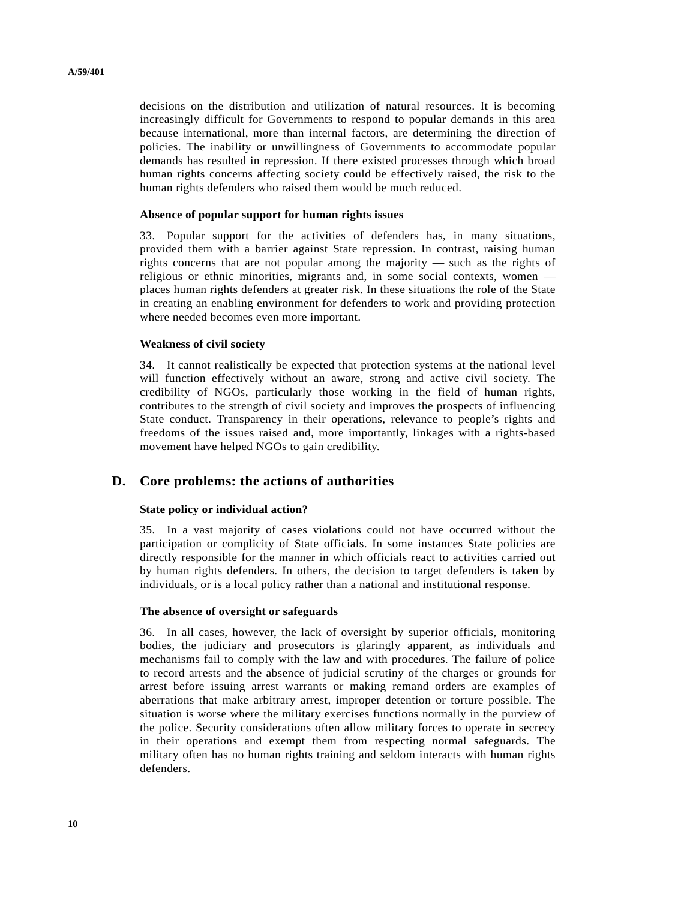decisions on the distribution and utilization of natural resources. It is becoming increasingly difficult for Governments to respond to popular demands in this area because international, more than internal factors, are determining the direction of policies. The inability or unwillingness of Governments to accommodate popular demands has resulted in repression. If there existed processes through which broad human rights concerns affecting society could be effectively raised, the risk to the human rights defenders who raised them would be much reduced.

#### **Absence of popular support for human rights issues**

33. Popular support for the activities of defenders has, in many situations, provided them with a barrier against State repression. In contrast, raising human rights concerns that are not popular among the majority — such as the rights of religious or ethnic minorities, migrants and, in some social contexts, women places human rights defenders at greater risk. In these situations the role of the State in creating an enabling environment for defenders to work and providing protection where needed becomes even more important.

#### **Weakness of civil society**

34. It cannot realistically be expected that protection systems at the national level will function effectively without an aware, strong and active civil society. The credibility of NGOs, particularly those working in the field of human rights, contributes to the strength of civil society and improves the prospects of influencing State conduct. Transparency in their operations, relevance to people's rights and freedoms of the issues raised and, more importantly, linkages with a rights-based movement have helped NGOs to gain credibility.

## **D. Core problems: the actions of authorities**

## **State policy or individual action?**

35. In a vast majority of cases violations could not have occurred without the participation or complicity of State officials. In some instances State policies are directly responsible for the manner in which officials react to activities carried out by human rights defenders. In others, the decision to target defenders is taken by individuals, or is a local policy rather than a national and institutional response.

## **The absence of oversight or safeguards**

36. In all cases, however, the lack of oversight by superior officials, monitoring bodies, the judiciary and prosecutors is glaringly apparent, as individuals and mechanisms fail to comply with the law and with procedures. The failure of police to record arrests and the absence of judicial scrutiny of the charges or grounds for arrest before issuing arrest warrants or making remand orders are examples of aberrations that make arbitrary arrest, improper detention or torture possible. The situation is worse where the military exercises functions normally in the purview of the police. Security considerations often allow military forces to operate in secrecy in their operations and exempt them from respecting normal safeguards. The military often has no human rights training and seldom interacts with human rights defenders.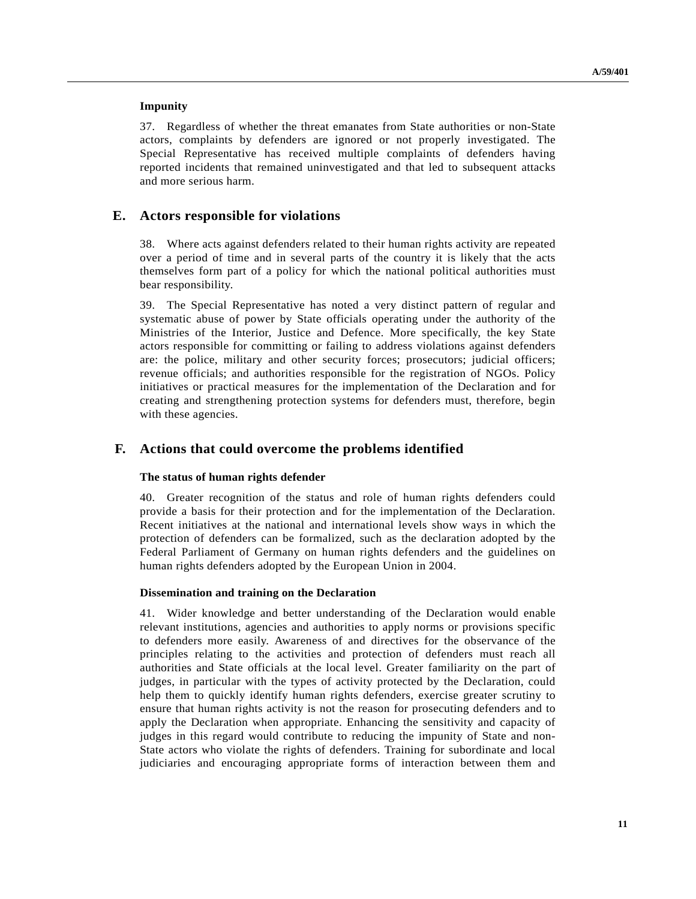## **Impunity**

37. Regardless of whether the threat emanates from State authorities or non-State actors, complaints by defenders are ignored or not properly investigated. The Special Representative has received multiple complaints of defenders having reported incidents that remained uninvestigated and that led to subsequent attacks and more serious harm.

## **E. Actors responsible for violations**

38. Where acts against defenders related to their human rights activity are repeated over a period of time and in several parts of the country it is likely that the acts themselves form part of a policy for which the national political authorities must bear responsibility.

39. The Special Representative has noted a very distinct pattern of regular and systematic abuse of power by State officials operating under the authority of the Ministries of the Interior, Justice and Defence. More specifically, the key State actors responsible for committing or failing to address violations against defenders are: the police, military and other security forces; prosecutors; judicial officers; revenue officials; and authorities responsible for the registration of NGOs. Policy initiatives or practical measures for the implementation of the Declaration and for creating and strengthening protection systems for defenders must, therefore, begin with these agencies.

## **F. Actions that could overcome the problems identified**

#### **The status of human rights defender**

40. Greater recognition of the status and role of human rights defenders could provide a basis for their protection and for the implementation of the Declaration. Recent initiatives at the national and international levels show ways in which the protection of defenders can be formalized, such as the declaration adopted by the Federal Parliament of Germany on human rights defenders and the guidelines on human rights defenders adopted by the European Union in 2004.

## **Dissemination and training on the Declaration**

41. Wider knowledge and better understanding of the Declaration would enable relevant institutions, agencies and authorities to apply norms or provisions specific to defenders more easily. Awareness of and directives for the observance of the principles relating to the activities and protection of defenders must reach all authorities and State officials at the local level. Greater familiarity on the part of judges, in particular with the types of activity protected by the Declaration, could help them to quickly identify human rights defenders, exercise greater scrutiny to ensure that human rights activity is not the reason for prosecuting defenders and to apply the Declaration when appropriate. Enhancing the sensitivity and capacity of judges in this regard would contribute to reducing the impunity of State and non-State actors who violate the rights of defenders. Training for subordinate and local judiciaries and encouraging appropriate forms of interaction between them and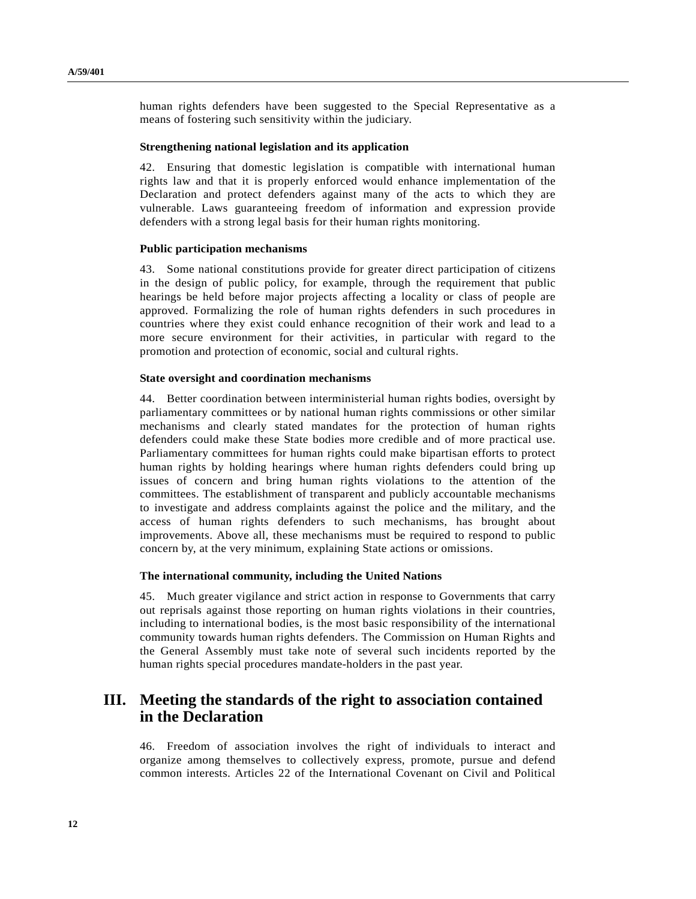human rights defenders have been suggested to the Special Representative as a means of fostering such sensitivity within the judiciary.

#### **Strengthening national legislation and its application**

42. Ensuring that domestic legislation is compatible with international human rights law and that it is properly enforced would enhance implementation of the Declaration and protect defenders against many of the acts to which they are vulnerable. Laws guaranteeing freedom of information and expression provide defenders with a strong legal basis for their human rights monitoring.

## **Public participation mechanisms**

43. Some national constitutions provide for greater direct participation of citizens in the design of public policy, for example, through the requirement that public hearings be held before major projects affecting a locality or class of people are approved. Formalizing the role of human rights defenders in such procedures in countries where they exist could enhance recognition of their work and lead to a more secure environment for their activities, in particular with regard to the promotion and protection of economic, social and cultural rights.

#### **State oversight and coordination mechanisms**

44. Better coordination between interministerial human rights bodies, oversight by parliamentary committees or by national human rights commissions or other similar mechanisms and clearly stated mandates for the protection of human rights defenders could make these State bodies more credible and of more practical use. Parliamentary committees for human rights could make bipartisan efforts to protect human rights by holding hearings where human rights defenders could bring up issues of concern and bring human rights violations to the attention of the committees. The establishment of transparent and publicly accountable mechanisms to investigate and address complaints against the police and the military, and the access of human rights defenders to such mechanisms, has brought about improvements. Above all, these mechanisms must be required to respond to public concern by, at the very minimum, explaining State actions or omissions.

#### **The international community, including the United Nations**

45. Much greater vigilance and strict action in response to Governments that carry out reprisals against those reporting on human rights violations in their countries, including to international bodies, is the most basic responsibility of the international community towards human rights defenders. The Commission on Human Rights and the General Assembly must take note of several such incidents reported by the human rights special procedures mandate-holders in the past year.

# **III. Meeting the standards of the right to association contained in the Declaration**

46. Freedom of association involves the right of individuals to interact and organize among themselves to collectively express, promote, pursue and defend common interests. Articles 22 of the International Covenant on Civil and Political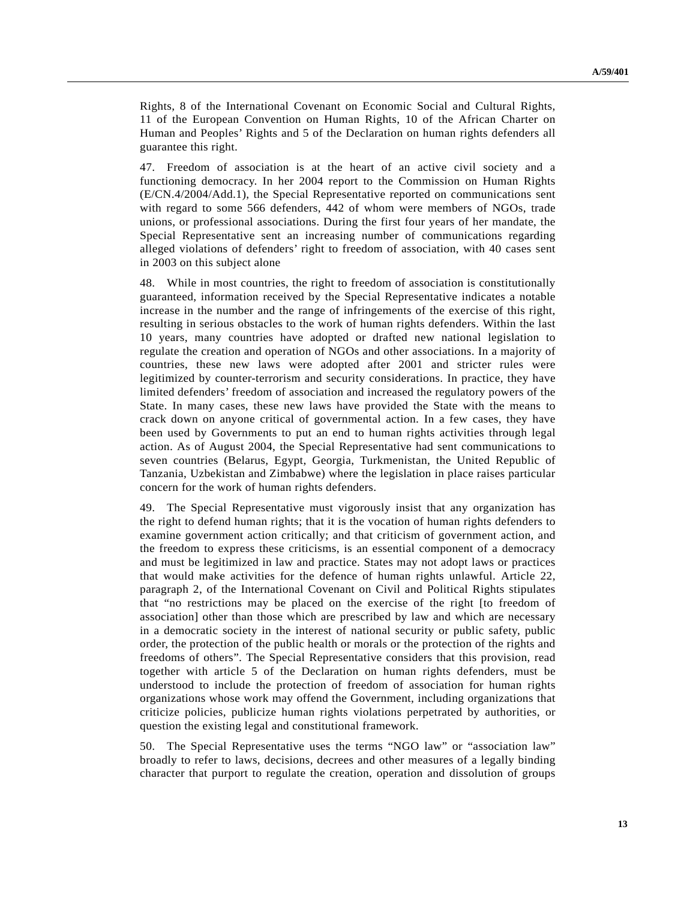Rights, 8 of the International Covenant on Economic Social and Cultural Rights, 11 of the European Convention on Human Rights, 10 of the African Charter on Human and Peoples' Rights and 5 of the Declaration on human rights defenders all guarantee this right.

47. Freedom of association is at the heart of an active civil society and a functioning democracy. In her 2004 report to the Commission on Human Rights (E/CN.4/2004/Add.1), the Special Representative reported on communications sent with regard to some 566 defenders, 442 of whom were members of NGOs, trade unions, or professional associations. During the first four years of her mandate, the Special Representative sent an increasing number of communications regarding alleged violations of defenders' right to freedom of association, with 40 cases sent in 2003 on this subject alone

48. While in most countries, the right to freedom of association is constitutionally guaranteed, information received by the Special Representative indicates a notable increase in the number and the range of infringements of the exercise of this right, resulting in serious obstacles to the work of human rights defenders. Within the last 10 years, many countries have adopted or drafted new national legislation to regulate the creation and operation of NGOs and other associations. In a majority of countries, these new laws were adopted after 2001 and stricter rules were legitimized by counter-terrorism and security considerations. In practice, they have limited defenders' freedom of association and increased the regulatory powers of the State. In many cases, these new laws have provided the State with the means to crack down on anyone critical of governmental action. In a few cases, they have been used by Governments to put an end to human rights activities through legal action. As of August 2004, the Special Representative had sent communications to seven countries (Belarus, Egypt, Georgia, Turkmenistan, the United Republic of Tanzania, Uzbekistan and Zimbabwe) where the legislation in place raises particular concern for the work of human rights defenders.

49. The Special Representative must vigorously insist that any organization has the right to defend human rights; that it is the vocation of human rights defenders to examine government action critically; and that criticism of government action, and the freedom to express these criticisms, is an essential component of a democracy and must be legitimized in law and practice. States may not adopt laws or practices that would make activities for the defence of human rights unlawful. Article 22, paragraph 2, of the International Covenant on Civil and Political Rights stipulates that "no restrictions may be placed on the exercise of the right [to freedom of association] other than those which are prescribed by law and which are necessary in a democratic society in the interest of national security or public safety, public order, the protection of the public health or morals or the protection of the rights and freedoms of others". The Special Representative considers that this provision, read together with article 5 of the Declaration on human rights defenders, must be understood to include the protection of freedom of association for human rights organizations whose work may offend the Government, including organizations that criticize policies, publicize human rights violations perpetrated by authorities, or question the existing legal and constitutional framework.

50. The Special Representative uses the terms "NGO law" or "association law" broadly to refer to laws, decisions, decrees and other measures of a legally binding character that purport to regulate the creation, operation and dissolution of groups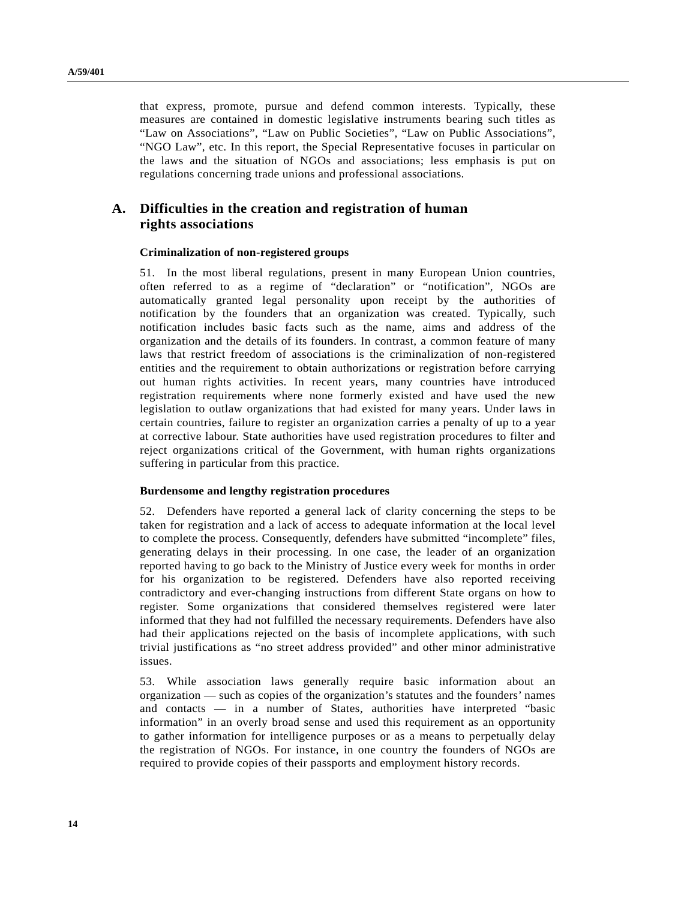that express, promote, pursue and defend common interests. Typically, these measures are contained in domestic legislative instruments bearing such titles as "Law on Associations", "Law on Public Societies", "Law on Public Associations", "NGO Law", etc. In this report, the Special Representative focuses in particular on the laws and the situation of NGOs and associations; less emphasis is put on regulations concerning trade unions and professional associations.

# **A. Difficulties in the creation and registration of human rights associations**

#### **Criminalization of non-registered groups**

51. In the most liberal regulations, present in many European Union countries, often referred to as a regime of "declaration" or "notification", NGOs are automatically granted legal personality upon receipt by the authorities of notification by the founders that an organization was created. Typically, such notification includes basic facts such as the name, aims and address of the organization and the details of its founders. In contrast, a common feature of many laws that restrict freedom of associations is the criminalization of non-registered entities and the requirement to obtain authorizations or registration before carrying out human rights activities. In recent years, many countries have introduced registration requirements where none formerly existed and have used the new legislation to outlaw organizations that had existed for many years. Under laws in certain countries, failure to register an organization carries a penalty of up to a year at corrective labour. State authorities have used registration procedures to filter and reject organizations critical of the Government, with human rights organizations suffering in particular from this practice.

#### **Burdensome and lengthy registration procedures**

52. Defenders have reported a general lack of clarity concerning the steps to be taken for registration and a lack of access to adequate information at the local level to complete the process. Consequently, defenders have submitted "incomplete" files, generating delays in their processing. In one case, the leader of an organization reported having to go back to the Ministry of Justice every week for months in order for his organization to be registered. Defenders have also reported receiving contradictory and ever-changing instructions from different State organs on how to register. Some organizations that considered themselves registered were later informed that they had not fulfilled the necessary requirements. Defenders have also had their applications rejected on the basis of incomplete applications, with such trivial justifications as "no street address provided" and other minor administrative issues.

53. While association laws generally require basic information about an organization — such as copies of the organization's statutes and the founders' names and contacts — in a number of States, authorities have interpreted "basic information" in an overly broad sense and used this requirement as an opportunity to gather information for intelligence purposes or as a means to perpetually delay the registration of NGOs. For instance, in one country the founders of NGOs are required to provide copies of their passports and employment history records.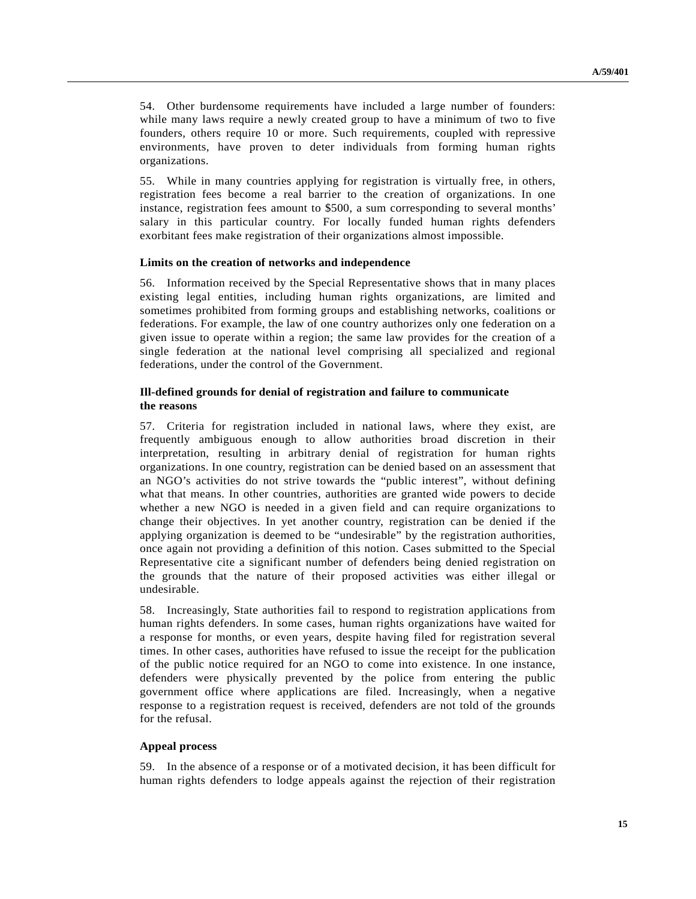54. Other burdensome requirements have included a large number of founders: while many laws require a newly created group to have a minimum of two to five founders, others require 10 or more. Such requirements, coupled with repressive environments, have proven to deter individuals from forming human rights organizations.

55. While in many countries applying for registration is virtually free, in others, registration fees become a real barrier to the creation of organizations. In one instance, registration fees amount to \$500, a sum corresponding to several months' salary in this particular country. For locally funded human rights defenders exorbitant fees make registration of their organizations almost impossible.

## **Limits on the creation of networks and independence**

56. Information received by the Special Representative shows that in many places existing legal entities, including human rights organizations, are limited and sometimes prohibited from forming groups and establishing networks, coalitions or federations. For example, the law of one country authorizes only one federation on a given issue to operate within a region; the same law provides for the creation of a single federation at the national level comprising all specialized and regional federations, under the control of the Government.

## **Ill-defined grounds for denial of registration and failure to communicate the reasons**

57. Criteria for registration included in national laws, where they exist, are frequently ambiguous enough to allow authorities broad discretion in their interpretation, resulting in arbitrary denial of registration for human rights organizations. In one country, registration can be denied based on an assessment that an NGO's activities do not strive towards the "public interest", without defining what that means. In other countries, authorities are granted wide powers to decide whether a new NGO is needed in a given field and can require organizations to change their objectives. In yet another country, registration can be denied if the applying organization is deemed to be "undesirable" by the registration authorities, once again not providing a definition of this notion. Cases submitted to the Special Representative cite a significant number of defenders being denied registration on the grounds that the nature of their proposed activities was either illegal or undesirable.

58. Increasingly, State authorities fail to respond to registration applications from human rights defenders. In some cases, human rights organizations have waited for a response for months, or even years, despite having filed for registration several times. In other cases, authorities have refused to issue the receipt for the publication of the public notice required for an NGO to come into existence. In one instance, defenders were physically prevented by the police from entering the public government office where applications are filed. Increasingly, when a negative response to a registration request is received, defenders are not told of the grounds for the refusal.

## **Appeal process**

59. In the absence of a response or of a motivated decision, it has been difficult for human rights defenders to lodge appeals against the rejection of their registration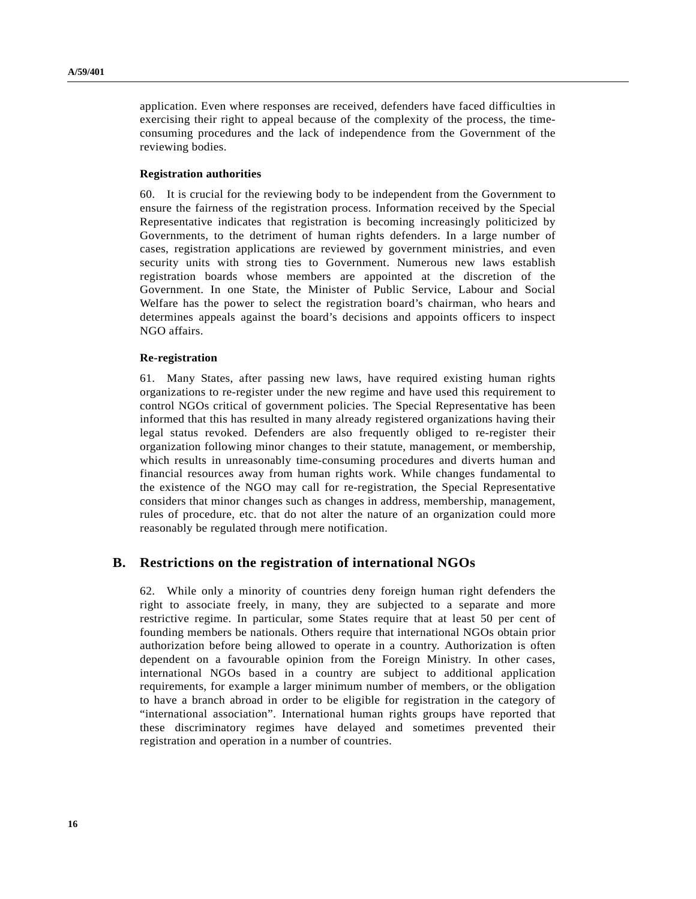application. Even where responses are received, defenders have faced difficulties in exercising their right to appeal because of the complexity of the process, the timeconsuming procedures and the lack of independence from the Government of the reviewing bodies.

#### **Registration authorities**

60. It is crucial for the reviewing body to be independent from the Government to ensure the fairness of the registration process. Information received by the Special Representative indicates that registration is becoming increasingly politicized by Governments, to the detriment of human rights defenders. In a large number of cases, registration applications are reviewed by government ministries, and even security units with strong ties to Government. Numerous new laws establish registration boards whose members are appointed at the discretion of the Government. In one State, the Minister of Public Service, Labour and Social Welfare has the power to select the registration board's chairman, who hears and determines appeals against the board's decisions and appoints officers to inspect NGO affairs.

#### **Re-registration**

61. Many States, after passing new laws, have required existing human rights organizations to re-register under the new regime and have used this requirement to control NGOs critical of government policies. The Special Representative has been informed that this has resulted in many already registered organizations having their legal status revoked. Defenders are also frequently obliged to re-register their organization following minor changes to their statute, management, or membership, which results in unreasonably time-consuming procedures and diverts human and financial resources away from human rights work. While changes fundamental to the existence of the NGO may call for re-registration, the Special Representative considers that minor changes such as changes in address, membership, management, rules of procedure, etc. that do not alter the nature of an organization could more reasonably be regulated through mere notification.

## **B. Restrictions on the registration of international NGOs**

62. While only a minority of countries deny foreign human right defenders the right to associate freely, in many, they are subjected to a separate and more restrictive regime. In particular, some States require that at least 50 per cent of founding members be nationals. Others require that international NGOs obtain prior authorization before being allowed to operate in a country. Authorization is often dependent on a favourable opinion from the Foreign Ministry. In other cases, international NGOs based in a country are subject to additional application requirements, for example a larger minimum number of members, or the obligation to have a branch abroad in order to be eligible for registration in the category of "international association". International human rights groups have reported that these discriminatory regimes have delayed and sometimes prevented their registration and operation in a number of countries.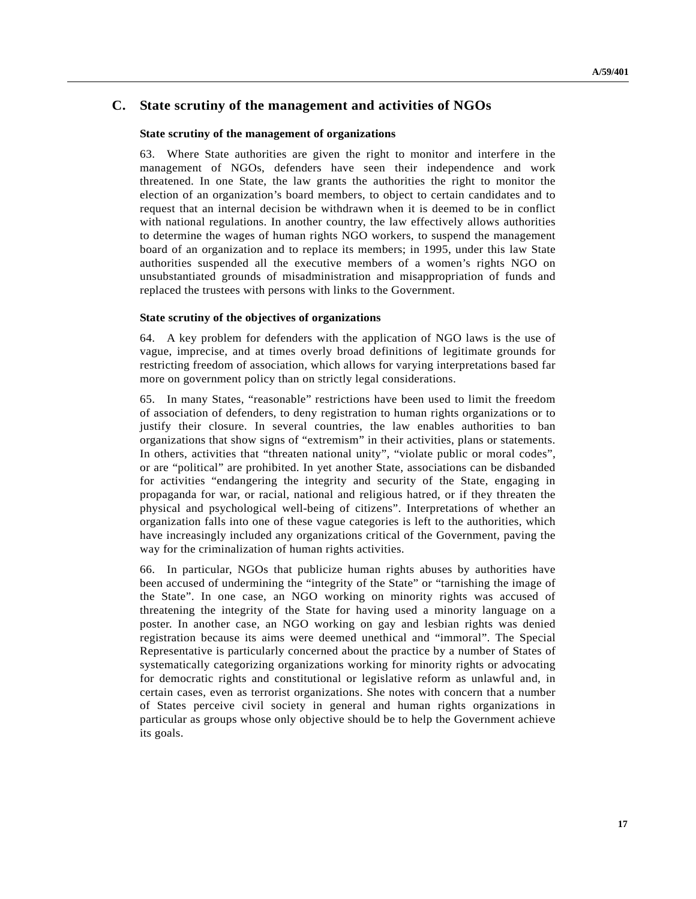# **C. State scrutiny of the management and activities of NGOs**

#### **State scrutiny of the management of organizations**

63. Where State authorities are given the right to monitor and interfere in the management of NGOs, defenders have seen their independence and work threatened. In one State, the law grants the authorities the right to monitor the election of an organization's board members, to object to certain candidates and to request that an internal decision be withdrawn when it is deemed to be in conflict with national regulations. In another country, the law effectively allows authorities to determine the wages of human rights NGO workers, to suspend the management board of an organization and to replace its members; in 1995, under this law State authorities suspended all the executive members of a women's rights NGO on unsubstantiated grounds of misadministration and misappropriation of funds and replaced the trustees with persons with links to the Government.

#### **State scrutiny of the objectives of organizations**

64. A key problem for defenders with the application of NGO laws is the use of vague, imprecise, and at times overly broad definitions of legitimate grounds for restricting freedom of association, which allows for varying interpretations based far more on government policy than on strictly legal considerations.

65. In many States, "reasonable" restrictions have been used to limit the freedom of association of defenders, to deny registration to human rights organizations or to justify their closure. In several countries, the law enables authorities to ban organizations that show signs of "extremism" in their activities, plans or statements. In others, activities that "threaten national unity", "violate public or moral codes", or are "political" are prohibited. In yet another State, associations can be disbanded for activities "endangering the integrity and security of the State, engaging in propaganda for war, or racial, national and religious hatred, or if they threaten the physical and psychological well-being of citizens". Interpretations of whether an organization falls into one of these vague categories is left to the authorities, which have increasingly included any organizations critical of the Government, paving the way for the criminalization of human rights activities.

66. In particular, NGOs that publicize human rights abuses by authorities have been accused of undermining the "integrity of the State" or "tarnishing the image of the State". In one case, an NGO working on minority rights was accused of threatening the integrity of the State for having used a minority language on a poster. In another case, an NGO working on gay and lesbian rights was denied registration because its aims were deemed unethical and "immoral". The Special Representative is particularly concerned about the practice by a number of States of systematically categorizing organizations working for minority rights or advocating for democratic rights and constitutional or legislative reform as unlawful and, in certain cases, even as terrorist organizations. She notes with concern that a number of States perceive civil society in general and human rights organizations in particular as groups whose only objective should be to help the Government achieve its goals.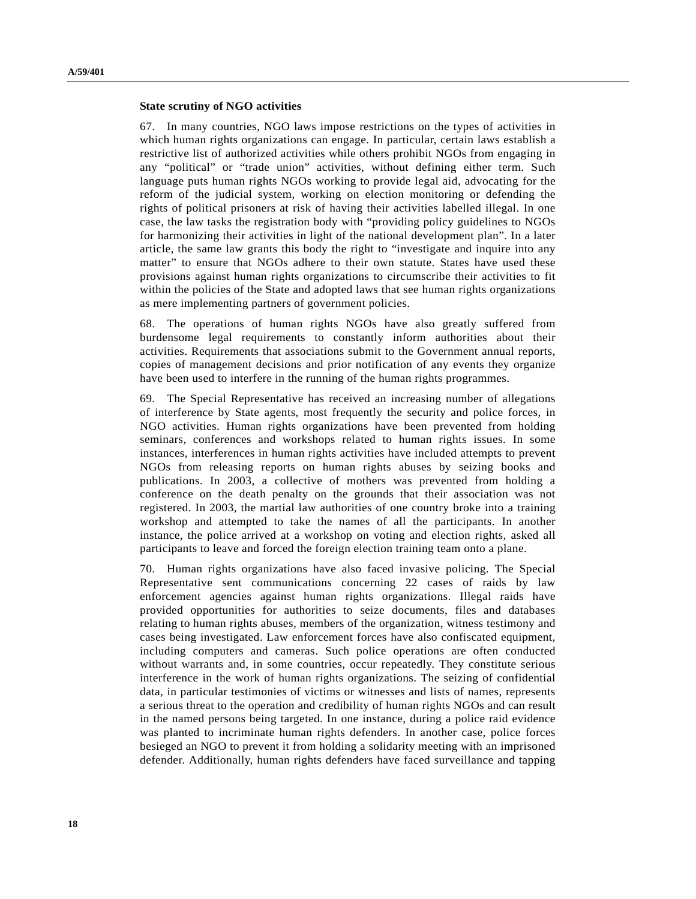#### **State scrutiny of NGO activities**

67. In many countries, NGO laws impose restrictions on the types of activities in which human rights organizations can engage. In particular, certain laws establish a restrictive list of authorized activities while others prohibit NGOs from engaging in any "political" or "trade union" activities, without defining either term. Such language puts human rights NGOs working to provide legal aid, advocating for the reform of the judicial system, working on election monitoring or defending the rights of political prisoners at risk of having their activities labelled illegal. In one case, the law tasks the registration body with "providing policy guidelines to NGOs for harmonizing their activities in light of the national development plan". In a later article, the same law grants this body the right to "investigate and inquire into any matter" to ensure that NGOs adhere to their own statute. States have used these provisions against human rights organizations to circumscribe their activities to fit within the policies of the State and adopted laws that see human rights organizations as mere implementing partners of government policies.

68. The operations of human rights NGOs have also greatly suffered from burdensome legal requirements to constantly inform authorities about their activities. Requirements that associations submit to the Government annual reports, copies of management decisions and prior notification of any events they organize have been used to interfere in the running of the human rights programmes.

69. The Special Representative has received an increasing number of allegations of interference by State agents, most frequently the security and police forces, in NGO activities. Human rights organizations have been prevented from holding seminars, conferences and workshops related to human rights issues. In some instances, interferences in human rights activities have included attempts to prevent NGOs from releasing reports on human rights abuses by seizing books and publications. In 2003, a collective of mothers was prevented from holding a conference on the death penalty on the grounds that their association was not registered. In 2003, the martial law authorities of one country broke into a training workshop and attempted to take the names of all the participants. In another instance, the police arrived at a workshop on voting and election rights, asked all participants to leave and forced the foreign election training team onto a plane.

70. Human rights organizations have also faced invasive policing. The Special Representative sent communications concerning 22 cases of raids by law enforcement agencies against human rights organizations. Illegal raids have provided opportunities for authorities to seize documents, files and databases relating to human rights abuses, members of the organization, witness testimony and cases being investigated. Law enforcement forces have also confiscated equipment, including computers and cameras. Such police operations are often conducted without warrants and, in some countries, occur repeatedly. They constitute serious interference in the work of human rights organizations. The seizing of confidential data, in particular testimonies of victims or witnesses and lists of names, represents a serious threat to the operation and credibility of human rights NGOs and can result in the named persons being targeted. In one instance, during a police raid evidence was planted to incriminate human rights defenders. In another case, police forces besieged an NGO to prevent it from holding a solidarity meeting with an imprisoned defender. Additionally, human rights defenders have faced surveillance and tapping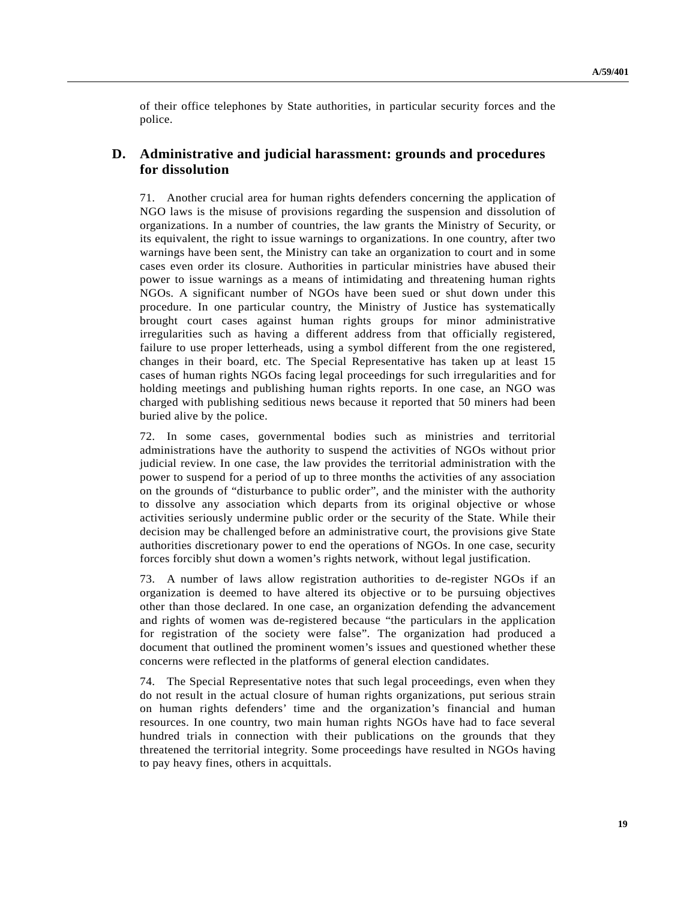of their office telephones by State authorities, in particular security forces and the police.

## **D. Administrative and judicial harassment: grounds and procedures for dissolution**

71. Another crucial area for human rights defenders concerning the application of NGO laws is the misuse of provisions regarding the suspension and dissolution of organizations. In a number of countries, the law grants the Ministry of Security, or its equivalent, the right to issue warnings to organizations. In one country, after two warnings have been sent, the Ministry can take an organization to court and in some cases even order its closure. Authorities in particular ministries have abused their power to issue warnings as a means of intimidating and threatening human rights NGOs. A significant number of NGOs have been sued or shut down under this procedure. In one particular country, the Ministry of Justice has systematically brought court cases against human rights groups for minor administrative irregularities such as having a different address from that officially registered, failure to use proper letterheads, using a symbol different from the one registered, changes in their board, etc. The Special Representative has taken up at least 15 cases of human rights NGOs facing legal proceedings for such irregularities and for holding meetings and publishing human rights reports. In one case, an NGO was charged with publishing seditious news because it reported that 50 miners had been buried alive by the police.

72. In some cases, governmental bodies such as ministries and territorial administrations have the authority to suspend the activities of NGOs without prior judicial review. In one case, the law provides the territorial administration with the power to suspend for a period of up to three months the activities of any association on the grounds of "disturbance to public order", and the minister with the authority to dissolve any association which departs from its original objective or whose activities seriously undermine public order or the security of the State. While their decision may be challenged before an administrative court, the provisions give State authorities discretionary power to end the operations of NGOs. In one case, security forces forcibly shut down a women's rights network, without legal justification.

73. A number of laws allow registration authorities to de-register NGOs if an organization is deemed to have altered its objective or to be pursuing objectives other than those declared. In one case, an organization defending the advancement and rights of women was de-registered because "the particulars in the application for registration of the society were false". The organization had produced a document that outlined the prominent women's issues and questioned whether these concerns were reflected in the platforms of general election candidates.

74. The Special Representative notes that such legal proceedings, even when they do not result in the actual closure of human rights organizations, put serious strain on human rights defenders' time and the organization's financial and human resources. In one country, two main human rights NGOs have had to face several hundred trials in connection with their publications on the grounds that they threatened the territorial integrity. Some proceedings have resulted in NGOs having to pay heavy fines, others in acquittals.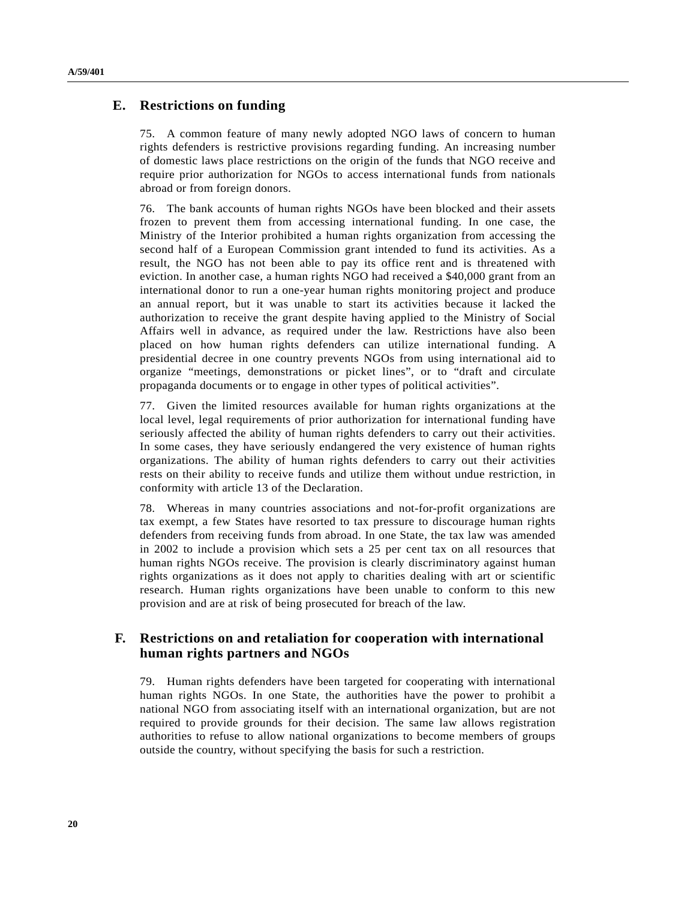## **E. Restrictions on funding**

75. A common feature of many newly adopted NGO laws of concern to human rights defenders is restrictive provisions regarding funding. An increasing number of domestic laws place restrictions on the origin of the funds that NGO receive and require prior authorization for NGOs to access international funds from nationals abroad or from foreign donors.

76. The bank accounts of human rights NGOs have been blocked and their assets frozen to prevent them from accessing international funding. In one case, the Ministry of the Interior prohibited a human rights organization from accessing the second half of a European Commission grant intended to fund its activities. As a result, the NGO has not been able to pay its office rent and is threatened with eviction. In another case, a human rights NGO had received a \$40,000 grant from an international donor to run a one-year human rights monitoring project and produce an annual report, but it was unable to start its activities because it lacked the authorization to receive the grant despite having applied to the Ministry of Social Affairs well in advance, as required under the law. Restrictions have also been placed on how human rights defenders can utilize international funding. A presidential decree in one country prevents NGOs from using international aid to organize "meetings, demonstrations or picket lines", or to "draft and circulate propaganda documents or to engage in other types of political activities".

77. Given the limited resources available for human rights organizations at the local level, legal requirements of prior authorization for international funding have seriously affected the ability of human rights defenders to carry out their activities. In some cases, they have seriously endangered the very existence of human rights organizations. The ability of human rights defenders to carry out their activities rests on their ability to receive funds and utilize them without undue restriction, in conformity with article 13 of the Declaration.

78. Whereas in many countries associations and not-for-profit organizations are tax exempt, a few States have resorted to tax pressure to discourage human rights defenders from receiving funds from abroad. In one State, the tax law was amended in 2002 to include a provision which sets a 25 per cent tax on all resources that human rights NGOs receive. The provision is clearly discriminatory against human rights organizations as it does not apply to charities dealing with art or scientific research. Human rights organizations have been unable to conform to this new provision and are at risk of being prosecuted for breach of the law.

## **F. Restrictions on and retaliation for cooperation with international human rights partners and NGOs**

79. Human rights defenders have been targeted for cooperating with international human rights NGOs. In one State, the authorities have the power to prohibit a national NGO from associating itself with an international organization, but are not required to provide grounds for their decision. The same law allows registration authorities to refuse to allow national organizations to become members of groups outside the country, without specifying the basis for such a restriction.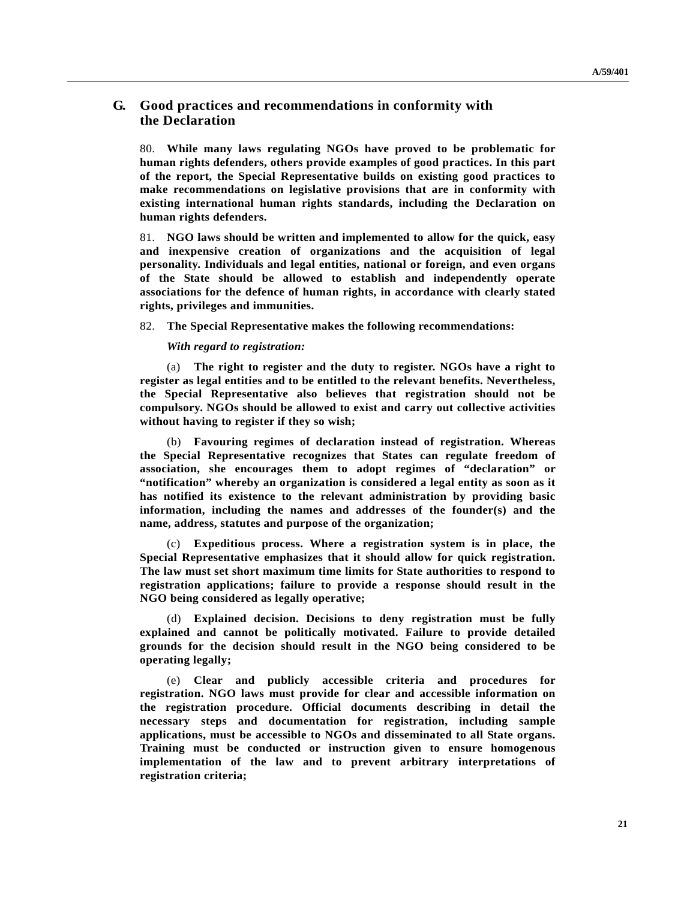# **G. Good practices and recommendations in conformity with the Declaration**

80. **While many laws regulating NGOs have proved to be problematic for human rights defenders, others provide examples of good practices. In this part of the report, the Special Representative builds on existing good practices to make recommendations on legislative provisions that are in conformity with existing international human rights standards, including the Declaration on human rights defenders.**

81. **NGO laws should be written and implemented to allow for the quick, easy and inexpensive creation of organizations and the acquisition of legal personality. Individuals and legal entities, national or foreign, and even organs of the State should be allowed to establish and independently operate associations for the defence of human rights, in accordance with clearly stated rights, privileges and immunities.**

82. **The Special Representative makes the following recommendations:**

*With regard to registration:*

(a) **The right to register and the duty to register. NGOs have a right to register as legal entities and to be entitled to the relevant benefits. Nevertheless, the Special Representative also believes that registration should not be compulsory. NGOs should be allowed to exist and carry out collective activities without having to register if they so wish;**

(b) **Favouring regimes of declaration instead of registration. Whereas the Special Representative recognizes that States can regulate freedom of association, she encourages them to adopt regimes of "declaration" or "notification" whereby an organization is considered a legal entity as soon as it has notified its existence to the relevant administration by providing basic information, including the names and addresses of the founder(s) and the name, address, statutes and purpose of the organization;**

(c) **Expeditious process. Where a registration system is in place, the Special Representative emphasizes that it should allow for quick registration. The law must set short maximum time limits for State authorities to respond to registration applications; failure to provide a response should result in the NGO being considered as legally operative;**

(d) **Explained decision. Decisions to deny registration must be fully explained and cannot be politically motivated. Failure to provide detailed grounds for the decision should result in the NGO being considered to be operating legally;**

(e) **Clear and publicly accessible criteria and procedures for registration. NGO laws must provide for clear and accessible information on the registration procedure. Official documents describing in detail the necessary steps and documentation for registration, including sample applications, must be accessible to NGOs and disseminated to all State organs. Training must be conducted or instruction given to ensure homogenous implementation of the law and to prevent arbitrary interpretations of registration criteria;**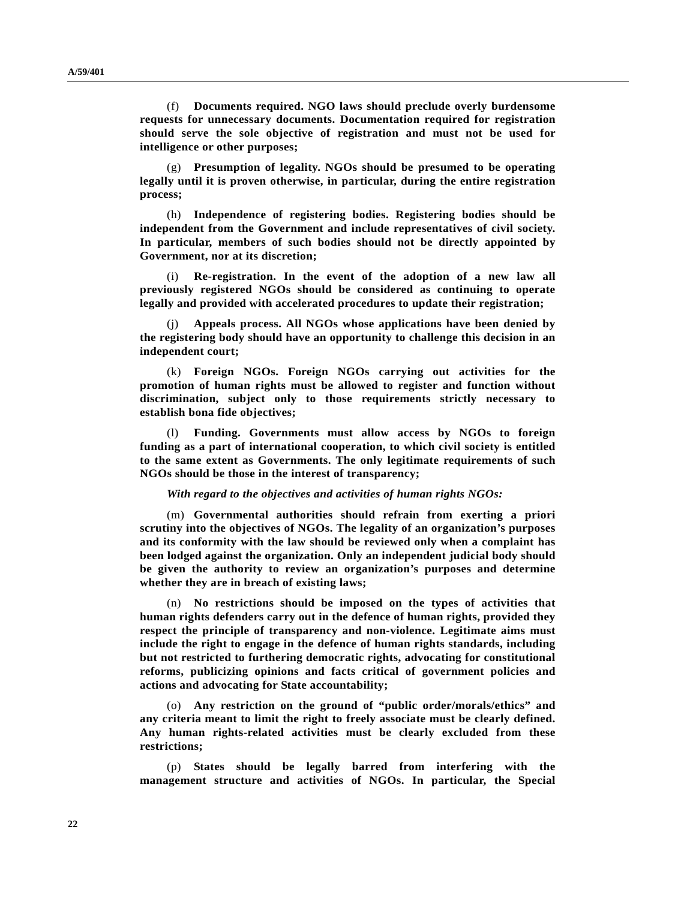(f) **Documents required. NGO laws should preclude overly burdensome requests for unnecessary documents. Documentation required for registration should serve the sole objective of registration and must not be used for intelligence or other purposes;**

(g) **Presumption of legality. NGOs should be presumed to be operating legally until it is proven otherwise, in particular, during the entire registration process;**

(h) **Independence of registering bodies. Registering bodies should be independent from the Government and include representatives of civil society. In particular, members of such bodies should not be directly appointed by Government, nor at its discretion;**

(i) **Re-registration. In the event of the adoption of a new law all previously registered NGOs should be considered as continuing to operate legally and provided with accelerated procedures to update their registration;**

(j) **Appeals process. All NGOs whose applications have been denied by the registering body should have an opportunity to challenge this decision in an independent court;**

(k) **Foreign NGOs. Foreign NGOs carrying out activities for the promotion of human rights must be allowed to register and function without discrimination, subject only to those requirements strictly necessary to establish bona fide objectives;**

(l) **Funding. Governments must allow access by NGOs to foreign funding as a part of international cooperation, to which civil society is entitled to the same extent as Governments. The only legitimate requirements of such NGOs should be those in the interest of transparency;**

#### *With regard to the objectives and activities of human rights NGOs:*

(m) **Governmental authorities should refrain from exerting a priori scrutiny into the objectives of NGOs. The legality of an organization's purposes and its conformity with the law should be reviewed only when a complaint has been lodged against the organization. Only an independent judicial body should be given the authority to review an organization's purposes and determine whether they are in breach of existing laws;**

(n) **No restrictions should be imposed on the types of activities that human rights defenders carry out in the defence of human rights, provided they respect the principle of transparency and non-violence. Legitimate aims must include the right to engage in the defence of human rights standards, including but not restricted to furthering democratic rights, advocating for constitutional reforms, publicizing opinions and facts critical of government policies and actions and advocating for State accountability;**

(o) **Any restriction on the ground of "public order/morals/ethics" and any criteria meant to limit the right to freely associate must be clearly defined. Any human rights-related activities must be clearly excluded from these restrictions;**

(p) **States should be legally barred from interfering with the management structure and activities of NGOs. In particular, the Special**